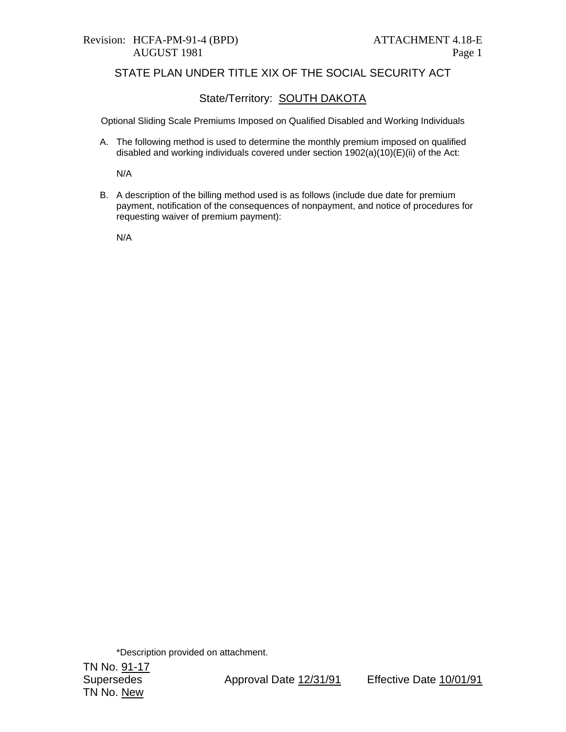# Revision: HCFA-PM-91-4 (BPD) ATTACHMENT 4.18-E

## STATE PLAN UNDER TITLE XIX OF THE SOCIAL SECURITY ACT

## State/Territory: **SOUTH DAKOTA**

Optional Sliding Scale Premiums Imposed on Qualified Disabled and Working Individuals

A. The following method is used to determine the monthly premium imposed on qualified disabled and working individuals covered under section 1902(a)(10)(E)(ii) of the Act:

N/A

B. A description of the billing method used is as follows (include due date for premium payment, notification of the consequences of nonpayment, and notice of procedures for requesting waiver of premium payment):

N/A

\*Description provided on attachment.

TN No. 91-17 TN No. New

Supersedes Approval Date 12/31/91 Effective Date 10/01/91